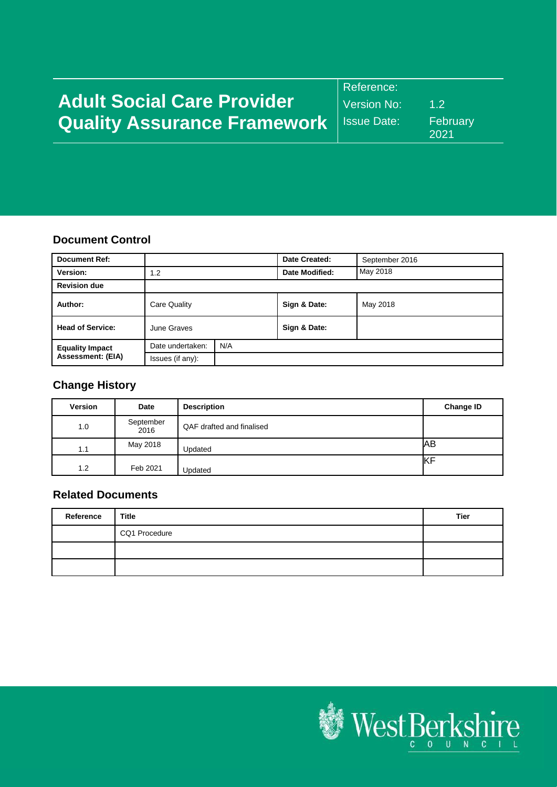|                                                  | Reference:  |                  |
|--------------------------------------------------|-------------|------------------|
| <b>Adult Social Care Provider</b>                | Version No: | 12               |
| <b>Quality Assurance Framework</b>   Issue Date: |             | February<br>2021 |

#### **Document Control**

| <b>Document Ref:</b>    |                  |     | Date Created:  | September 2016 |
|-------------------------|------------------|-----|----------------|----------------|
| Version:                | 1.2              |     | Date Modified: | May 2018       |
| <b>Revision due</b>     |                  |     |                |                |
| Author:                 | Care Quality     |     | Sign & Date:   | May 2018       |
| <b>Head of Service:</b> | June Graves      |     | Sign & Date:   |                |
| <b>Equality Impact</b>  | Date undertaken: | N/A |                |                |
| Assessment: (EIA)       | Issues (if any): |     |                |                |

# **Change History**

| <b>Version</b> | Date              | <b>Description</b>        | <b>Change ID</b> |
|----------------|-------------------|---------------------------|------------------|
| 1.0            | September<br>2016 | QAF drafted and finalised |                  |
| 1.1            | May 2018          | Updated                   | IАB              |
| 1.2            | Feb 2021          | Updated                   | KF               |

# **Related Documents**

| Reference | Title         | Tier |
|-----------|---------------|------|
|           | CQ1 Procedure |      |
|           |               |      |
|           |               |      |

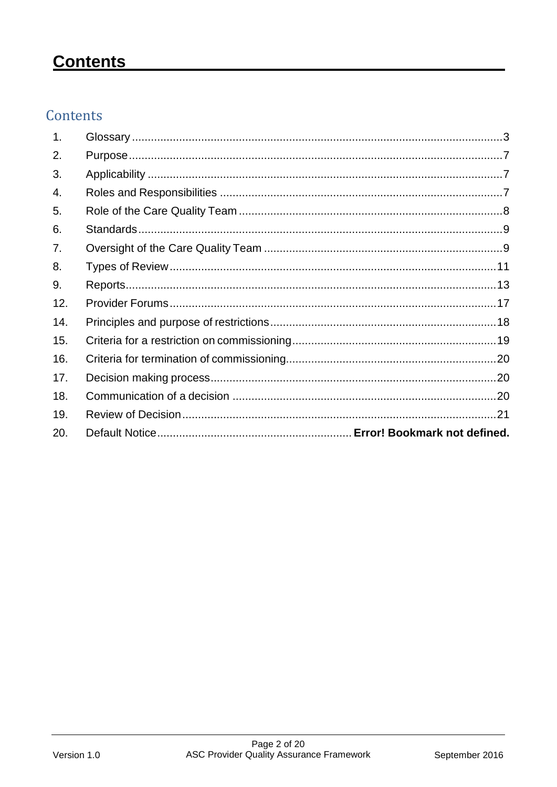# **Contents**

# Contents

| 1.  |  |
|-----|--|
| 2.  |  |
| 3.  |  |
| 4.  |  |
| 5.  |  |
| 6.  |  |
| 7.  |  |
| 8.  |  |
| 9.  |  |
| 12. |  |
| 14. |  |
| 15. |  |
| 16. |  |
| 17. |  |
| 18. |  |
| 19. |  |
| 20. |  |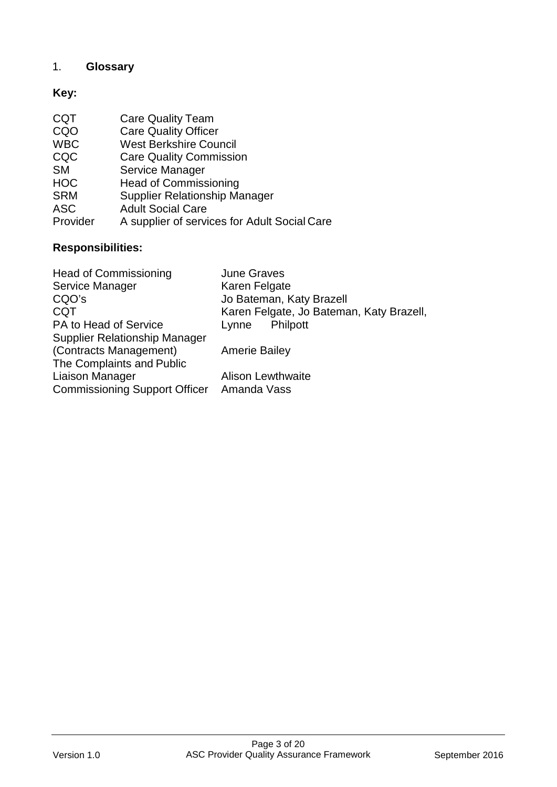# <span id="page-2-0"></span>1. **Glossary**

# **Key:**

| A supplier of services for Adult Social Care |
|----------------------------------------------|
|                                              |

# **Responsibilities:**

| <b>Head of Commissioning</b>              | <b>June Graves</b>                       |
|-------------------------------------------|------------------------------------------|
| Service Manager                           | Karen Felgate                            |
| CQO's                                     | Jo Bateman, Katy Brazell                 |
| <b>CQT</b>                                | Karen Felgate, Jo Bateman, Katy Brazell, |
| PA to Head of Service                     | Philpott<br>Lynne                        |
| <b>Supplier Relationship Manager</b>      |                                          |
| (Contracts Management)                    | <b>Amerie Bailey</b>                     |
| The Complaints and Public                 |                                          |
| Liaison Manager                           | <b>Alison Lewthwaite</b>                 |
| Commissioning Support Officer Amanda Vass |                                          |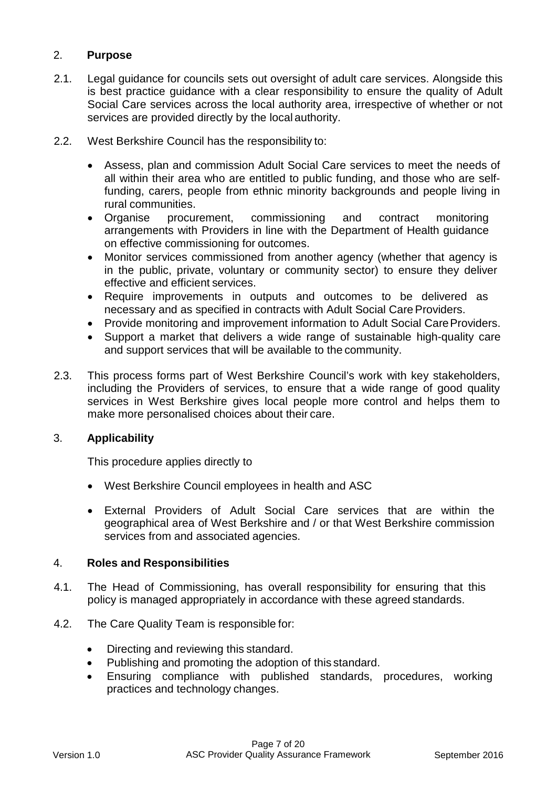# <span id="page-3-0"></span>2. **Purpose**

- 2.1. Legal guidance for councils sets out oversight of adult care services. Alongside this is best practice guidance with a clear responsibility to ensure the quality of Adult Social Care services across the local authority area, irrespective of whether or not services are provided directly by the local authority.
- 2.2. West Berkshire Council has the responsibility to:
	- Assess, plan and commission Adult Social Care services to meet the needs of all within their area who are entitled to public funding, and those who are selffunding, carers, people from ethnic minority backgrounds and people living in rural communities.
	- Organise procurement, commissioning and contract monitoring arrangements with Providers in line with the Department of Health guidance on effective commissioning for outcomes.
	- Monitor services commissioned from another agency (whether that agency is in the public, private, voluntary or community sector) to ensure they deliver effective and efficient services.
	- Require improvements in outputs and outcomes to be delivered as necessary and as specified in contracts with Adult Social Care Providers.
	- Provide monitoring and improvement information to Adult Social Care Providers.
	- Support a market that delivers a wide range of sustainable high-quality care and support services that will be available to the community.
- 2.3. This process forms part of West Berkshire Council's work with key stakeholders, including the Providers of services, to ensure that a wide range of good quality services in West Berkshire gives local people more control and helps them to make more personalised choices about their care.

#### <span id="page-3-1"></span>3. **Applicability**

This procedure applies directly to

- West Berkshire Council employees in health and ASC
- External Providers of Adult Social Care services that are within the geographical area of West Berkshire and / or that West Berkshire commission services from and associated agencies.

#### <span id="page-3-2"></span>4. **Roles and Responsibilities**

- 4.1. The Head of Commissioning, has overall responsibility for ensuring that this policy is managed appropriately in accordance with these agreed standards.
- 4.2. The Care Quality Team is responsible for:
	- Directing and reviewing this standard.
	- Publishing and promoting the adoption of this standard.
	- Ensuring compliance with published standards, procedures, working practices and technology changes.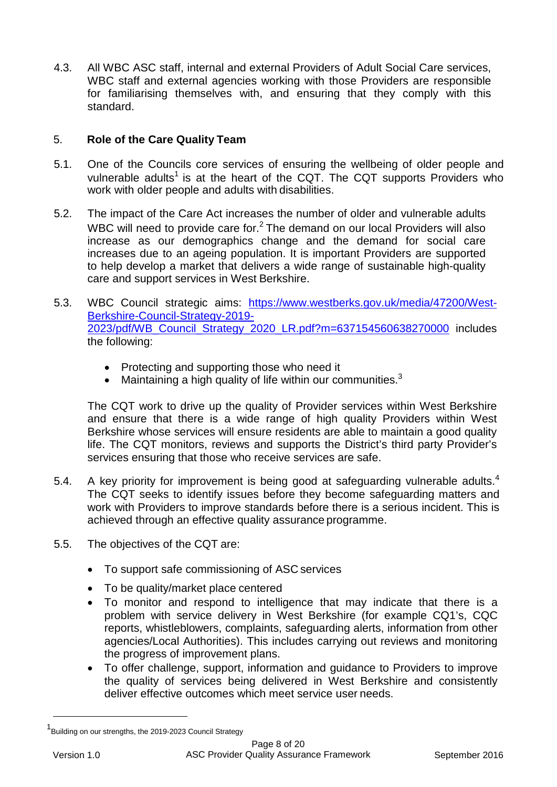4.3. All WBC ASC staff, internal and external Providers of Adult Social Care services, WBC staff and external agencies working with those Providers are responsible for familiarising themselves with, and ensuring that they comply with this standard.

# <span id="page-4-0"></span>5. **Role of the Care Quality Team**

- 5.1. One of the Councils core services of ensuring the wellbeing of older people and vulnerable adults<sup>1</sup> is at the heart of the CQT. The CQT supports Providers who work with older people and adults with disabilities.
- 5.2. The impact of the Care Act increases the number of older and vulnerable adults WBC will need to provide care for.<sup>2</sup> The demand on our local Providers will also increase as our demographics change and the demand for social care increases due to an ageing population. It is important Providers are supported to help develop a market that delivers a wide range of sustainable high-quality care and support services in West Berkshire.
- 5.3. WBC Council strategic aims: [https://www.westberks.gov.uk/media/47200/West-](https://www.westberks.gov.uk/media/47200/West-Berkshire-Council-Strategy-2019-2023/pdf/WB_Council_Strategy_2020_LR.pdf?m=637154560638270000)[Berkshire-Council-Strategy-2019-](https://www.westberks.gov.uk/media/47200/West-Berkshire-Council-Strategy-2019-2023/pdf/WB_Council_Strategy_2020_LR.pdf?m=637154560638270000) [2023/pdf/WB\\_Council\\_Strategy\\_2020\\_LR.pdf?m=637154560638270000](https://www.westberks.gov.uk/media/47200/West-Berkshire-Council-Strategy-2019-2023/pdf/WB_Council_Strategy_2020_LR.pdf?m=637154560638270000) includes the following:
	- Protecting and supporting those who need it
	- Maintaining a high quality of life within our communities. $3$

The CQT work to drive up the quality of Provider services within West Berkshire and ensure that there is a wide range of high quality Providers within West Berkshire whose services will ensure residents are able to maintain a good quality life. The CQT monitors, reviews and supports the District's third party Provider's services ensuring that those who receive services are safe.

- 5.[4](#page-5-3). A key priority for improvement is being good at safeguarding vulnerable adults. $4$ The CQT seeks to identify issues before they become safeguarding matters and work with Providers to improve standards before there is a serious incident. This is achieved through an effective quality assurance programme.
- 5.5. The objectives of the CQT are:
	- To support safe commissioning of ASC services
	- To be quality/market place centered
	- To monitor and respond to intelligence that may indicate that there is a problem with service delivery in West Berkshire (for example CQ1's, CQC reports, whistleblowers, complaints, safeguarding alerts, information from other agencies/Local Authorities). This includes carrying out reviews and monitoring the progress of improvement plans.
	- To offer challenge, support, information and guidance to Providers to improve the quality of services being delivered in West Berkshire and consistently deliver effective outcomes which meet service user needs.

<span id="page-4-1"></span><sup>1</sup> Building on our strengths, the 2019-2023 Council Strategy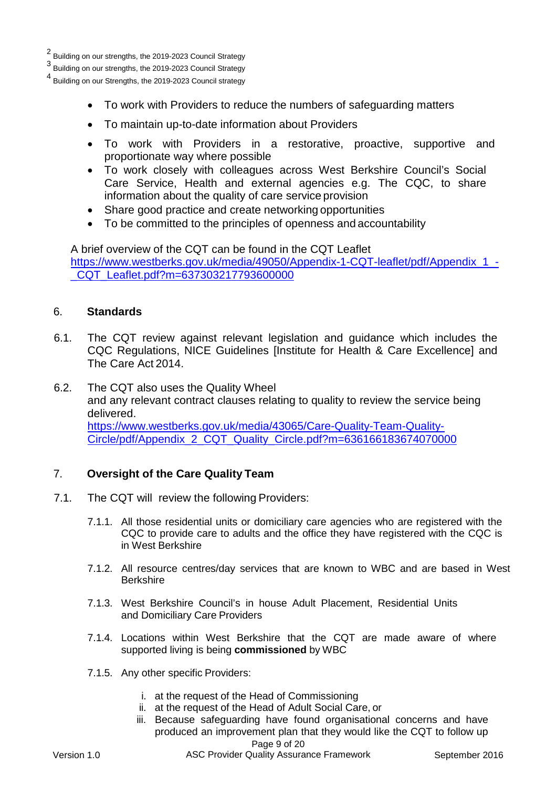2 Building on our strengths, the 2019-2023 Council Strategy

3 Building on our strengths, the 2019-2023 Council Strategy

<sup>4</sup> Building on our Strengths, the 2019-2023 Council strategy

- <span id="page-5-3"></span><span id="page-5-2"></span>• To work with Providers to reduce the numbers of safeguarding matters
- To maintain up-to-date information about Providers
- To work with Providers in a restorative, proactive, supportive and proportionate way where possible
- To work closely with colleagues across West Berkshire Council's Social Care Service, Health and external agencies e.g. The CQC, to share information about the quality of care service provision
- Share good practice and create networking opportunities
- To be committed to the principles of openness and accountability

A brief overview of the CQT can be found in the CQT Leaflet [https://www.westberks.gov.uk/media/49050/Appendix-1-CQT-leaflet/pdf/Appendix\\_1\\_-](https://www.westberks.gov.uk/media/49050/Appendix-1-CQT-leaflet/pdf/Appendix_1_-_CQT_Leaflet.pdf?m=637303217793600000) [\\_CQT\\_Leaflet.pdf?m=637303217793600000](https://www.westberks.gov.uk/media/49050/Appendix-1-CQT-leaflet/pdf/Appendix_1_-_CQT_Leaflet.pdf?m=637303217793600000)

#### <span id="page-5-0"></span>6. **Standards**

- 6.1. The CQT review against relevant legislation and guidance which includes the CQC Regulations, NICE Guidelines [Institute for Health & Care Excellence] and The Care Act 2014.
- 6.2. The CQT also uses the Quality Wheel and any relevant contract clauses relating to quality to review the service being delivered. [https://www.westberks.gov.uk/media/43065/Care-Quality-Team-Quality-](https://www.westberks.gov.uk/media/43065/Care-Quality-Team-Quality-Circle/pdf/Appendix_2_CQT_Quality_Circle.pdf?m=636166183674070000)[Circle/pdf/Appendix\\_2\\_CQT\\_Quality\\_Circle.pdf?m=636166183674070000](https://www.westberks.gov.uk/media/43065/Care-Quality-Team-Quality-Circle/pdf/Appendix_2_CQT_Quality_Circle.pdf?m=636166183674070000)

#### <span id="page-5-1"></span>7. **Oversight of the Care Quality Team**

- 7.1. The CQT will review the following Providers:
	- 7.1.1. All those residential units or domiciliary care agencies who are registered with the CQC to provide care to adults and the office they have registered with the CQC is in West Berkshire
	- 7.1.2. All resource centres/day services that are known to WBC and are based in West Berkshire
	- 7.1.3. West Berkshire Council's in house Adult Placement, Residential Units and Domiciliary Care Providers
	- 7.1.4. Locations within West Berkshire that the CQT are made aware of where supported living is being **commissioned** by WBC
	- 7.1.5. Any other specific Providers:
		- i. at the request of the Head of Commissioning
		- ii. at the request of the Head of Adult Social Care, or
		- iii. Because safeguarding have found organisational concerns and have produced an improvement plan that they would like the CQT to follow up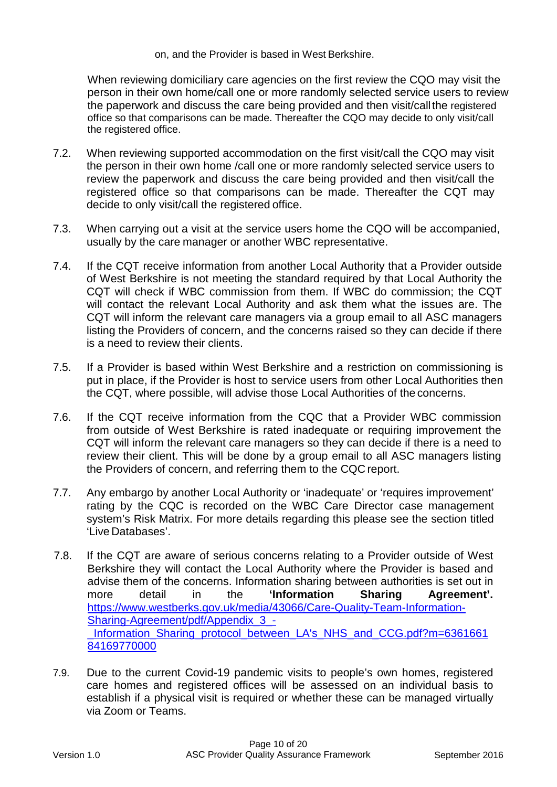on, and the Provider is based in West Berkshire.

When reviewing domiciliary care agencies on the first review the CQO may visit the person in their own home/call one or more randomly selected service users to review the paperwork and discuss the care being provided and then visit/callthe registered office so that comparisons can be made. Thereafter the CQO may decide to only visit/call the registered office.

- 7.2. When reviewing supported accommodation on the first visit/call the CQO may visit the person in their own home /call one or more randomly selected service users to review the paperwork and discuss the care being provided and then visit/call the registered office so that comparisons can be made. Thereafter the CQT may decide to only visit/call the registered office.
- 7.3. When carrying out a visit at the service users home the CQO will be accompanied, usually by the care manager or another WBC representative.
- 7.4. If the CQT receive information from another Local Authority that a Provider outside of West Berkshire is not meeting the standard required by that Local Authority the CQT will check if WBC commission from them. If WBC do commission; the CQT will contact the relevant Local Authority and ask them what the issues are. The CQT will inform the relevant care managers via a group email to all ASC managers listing the Providers of concern, and the concerns raised so they can decide if there is a need to review their clients.
- 7.5. If a Provider is based within West Berkshire and a restriction on commissioning is put in place, if the Provider is host to service users from other Local Authorities then the CQT, where possible, will advise those Local Authorities of the concerns.
- 7.6. If the CQT receive information from the CQC that a Provider WBC commission from outside of West Berkshire is rated inadequate or requiring improvement the CQT will inform the relevant care managers so they can decide if there is a need to review their client. This will be done by a group email to all ASC managers listing the Providers of concern, and referring them to the CQC report.
- 7.7. Any embargo by another Local Authority or 'inadequate' or 'requires improvement' rating by the CQC is recorded on the WBC Care Director case management system's Risk Matrix. For more details regarding this please see the section titled 'Live Databases'.
- 7.8. If the CQT are aware of serious concerns relating to a Provider outside of West Berkshire they will contact the Local Authority where the Provider is based and advise them of the concerns. Information sharing between authorities is set out in more detail in the **'Information Sharing Agreement'.** [https://www.westberks.gov.uk/media/43066/Care-Quality-Team-Information-](https://www.westberks.gov.uk/media/43066/Care-Quality-Team-Information-Sharing-Agreement/pdf/Appendix_3_-_Information_Sharing_protocol_between_LA)Sharing-Agreement/pdf/Appendix 3 -Information Sharing protocol between LA's NHS and CCG.pdf?m=6361661 [84169770000](https://www.westberks.gov.uk/media/43066/Care-Quality-Team-Information-Sharing-Agreement/pdf/Appendix_3_-_Information_Sharing_protocol_between_LA)
- 7.9. Due to the current Covid-19 pandemic visits to people's own homes, registered care homes and registered offices will be assessed on an individual basis to establish if a physical visit is required or whether these can be managed virtually via Zoom or Teams.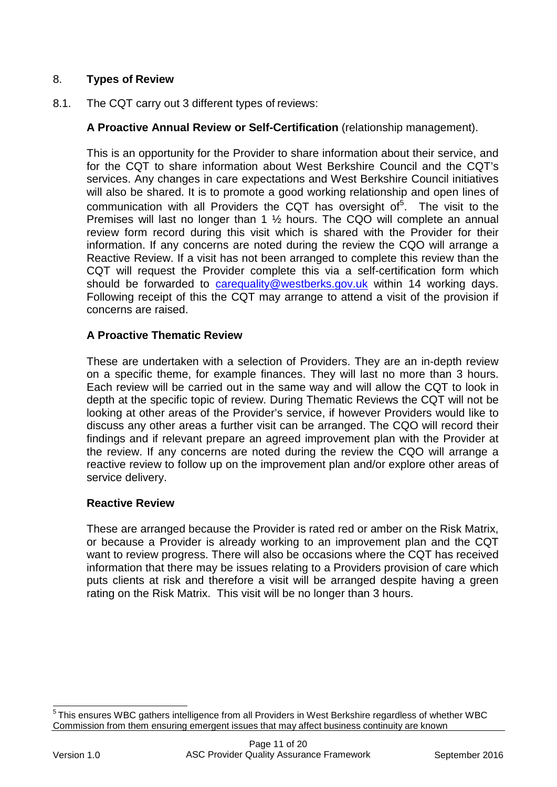# <span id="page-7-0"></span>8. **Types of Review**

8.1. The CQT carry out 3 different types of reviews:

# **A Proactive Annual Review or Self-Certification** (relationship management).

This is an opportunity for the Provider to share information about their service, and for the CQT to share information about West Berkshire Council and the CQT's services. Any changes in care expectations and West Berkshire Council initiatives will also be shared. It is to promote a good working relationship and open lines of communication with all Providers the CQT has oversight of<sup>[5](#page-7-1)</sup>. The visit to the Premises will last no longer than 1 ½ hours. The CQO will complete an annual review form record during this visit which is shared with the Provider for their information. If any concerns are noted during the review the CQO will arrange a Reactive Review. If a visit has not been arranged to complete this review than the CQT will request the Provider complete this via a self-certification form which should be forwarded to [carequality@westberks.gov.uk](mailto:carequality@westberks.gov.uk) within 14 working days. Following receipt of this the CQT may arrange to attend a visit of the provision if concerns are raised.

# **A Proactive Thematic Review**

These are undertaken with a selection of Providers. They are an in-depth review on a specific theme, for example finances. They will last no more than 3 hours. Each review will be carried out in the same way and will allow the CQT to look in depth at the specific topic of review. During Thematic Reviews the CQT will not be looking at other areas of the Provider's service, if however Providers would like to discuss any other areas a further visit can be arranged. The CQO will record their findings and if relevant prepare an agreed improvement plan with the Provider at the review. If any concerns are noted during the review the CQO will arrange a reactive review to follow up on the improvement plan and/or explore other areas of service delivery.

# **Reactive Review**

These are arranged because the Provider is rated red or amber on the Risk Matrix, or because a Provider is already working to an improvement plan and the CQT want to review progress. There will also be occasions where the CQT has received information that there may be issues relating to a Providers provision of care which puts clients at risk and therefore a visit will be arranged despite having a green rating on the Risk Matrix. This visit will be no longer than 3 hours.

<span id="page-7-1"></span><sup>5</sup> This ensures WBC gathers intelligence from all Providers in West Berkshire regardless of whether WBC Commission from them ensuring emergent issues that may affect business continuity are known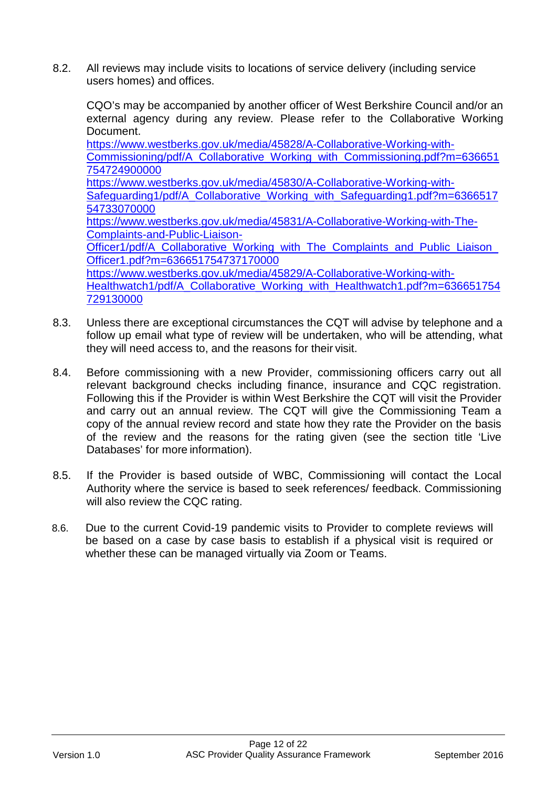8.2. All reviews may include visits to locations of service delivery (including service users homes) and offices.

CQO's may be accompanied by another officer of West Berkshire Council and/or an external agency during any review. Please refer to the Collaborative Working Document. [https://www.westberks.gov.uk/media/45828/A-Collaborative-Working-with-](https://www.westberks.gov.uk/media/45828/A-Collaborative-Working-with-Commissioning/pdf/A_Collaborative_Working_with_Commissioning.pdf?m=636651754724900000)[Commissioning/pdf/A\\_Collaborative\\_Working\\_with\\_Commissioning.pdf?m=636651](https://www.westberks.gov.uk/media/45828/A-Collaborative-Working-with-Commissioning/pdf/A_Collaborative_Working_with_Commissioning.pdf?m=636651754724900000) [754724900000](https://www.westberks.gov.uk/media/45828/A-Collaborative-Working-with-Commissioning/pdf/A_Collaborative_Working_with_Commissioning.pdf?m=636651754724900000) [https://www.westberks.gov.uk/media/45830/A-Collaborative-Working-with-](https://www.westberks.gov.uk/media/45830/A-Collaborative-Working-with-Safeguarding1/pdf/A_Collaborative_Working_with_Safeguarding1.pdf?m=636651754733070000)Safeguarding1/pdf/A Collaborative Working with Safeguarding1.pdf?m=6366517 [54733070000](https://www.westberks.gov.uk/media/45830/A-Collaborative-Working-with-Safeguarding1/pdf/A_Collaborative_Working_with_Safeguarding1.pdf?m=636651754733070000) [https://www.westberks.gov.uk/media/45831/A-Collaborative-Working-with-The-](https://www.westberks.gov.uk/media/45831/A-Collaborative-Working-with-The-Complaints-and-Public-Liaison-Officer1/pdf/A_Collaborative_Working_with_The_Complaints_and_Public_Liaison_Officer1.pdf?m=636651754737170000)[Complaints-and-Public-Liaison-](https://www.westberks.gov.uk/media/45831/A-Collaborative-Working-with-The-Complaints-and-Public-Liaison-Officer1/pdf/A_Collaborative_Working_with_The_Complaints_and_Public_Liaison_Officer1.pdf?m=636651754737170000)[Officer1/pdf/A\\_Collaborative\\_Working\\_with\\_The\\_Complaints\\_and\\_Public\\_Liaison\\_](https://www.westberks.gov.uk/media/45831/A-Collaborative-Working-with-The-Complaints-and-Public-Liaison-Officer1/pdf/A_Collaborative_Working_with_The_Complaints_and_Public_Liaison_Officer1.pdf?m=636651754737170000) [Officer1.pdf?m=636651754737170000](https://www.westberks.gov.uk/media/45831/A-Collaborative-Working-with-The-Complaints-and-Public-Liaison-Officer1/pdf/A_Collaborative_Working_with_The_Complaints_and_Public_Liaison_Officer1.pdf?m=636651754737170000) [https://www.westberks.gov.uk/media/45829/A-Collaborative-Working-with-](https://www.westberks.gov.uk/media/45829/A-Collaborative-Working-with-Healthwatch1/pdf/A_Collaborative_Working_with_Healthwatch1.pdf?m=636651754729130000)[Healthwatch1/pdf/A\\_Collaborative\\_Working\\_with\\_Healthwatch1.pdf?m=636651754](https://www.westberks.gov.uk/media/45829/A-Collaborative-Working-with-Healthwatch1/pdf/A_Collaborative_Working_with_Healthwatch1.pdf?m=636651754729130000) [729130000](https://www.westberks.gov.uk/media/45829/A-Collaborative-Working-with-Healthwatch1/pdf/A_Collaborative_Working_with_Healthwatch1.pdf?m=636651754729130000)

- 8.3. Unless there are exceptional circumstances the CQT will advise by telephone and a follow up email what type of review will be undertaken, who will be attending, what they will need access to, and the reasons for their visit.
- 8.4. Before commissioning with a new Provider, commissioning officers carry out all relevant background checks including finance, insurance and CQC registration. Following this if the Provider is within West Berkshire the CQT will visit the Provider and carry out an annual review. The CQT will give the Commissioning Team a copy of the annual review record and state how they rate the Provider on the basis of the review and the reasons for the rating given (see the section title 'Live Databases' for more information).
- 8.5. If the Provider is based outside of WBC, Commissioning will contact the Local Authority where the service is based to seek references/ feedback. Commissioning will also review the CQC rating.
- 8.6. Due to the current Covid-19 pandemic visits to Provider to complete reviews will be based on a case by case basis to establish if a physical visit is required or whether these can be managed virtually via Zoom or Teams.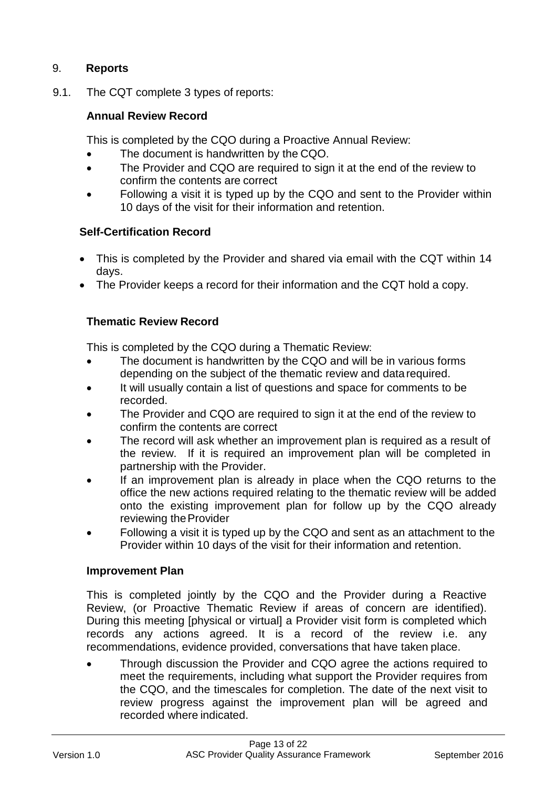# <span id="page-9-0"></span>9. **Reports**

9.1. The CQT complete 3 types of reports:

# **Annual Review Record**

This is completed by the CQO during a Proactive Annual Review:

- The document is handwritten by the CQO.
- The Provider and CQO are required to sign it at the end of the review to confirm the contents are correct
- Following a visit it is typed up by the CQO and sent to the Provider within 10 days of the visit for their information and retention.

## **Self-Certification Record**

- This is completed by the Provider and shared via email with the CQT within 14 days.
- The Provider keeps a record for their information and the CQT hold a copy.

## **Thematic Review Record**

This is completed by the CQO during a Thematic Review:

- The document is handwritten by the CQO and will be in various forms depending on the subject of the thematic review and datarequired.
- It will usually contain a list of questions and space for comments to be recorded.
- The Provider and CQO are required to sign it at the end of the review to confirm the contents are correct
- The record will ask whether an improvement plan is required as a result of the review. If it is required an improvement plan will be completed in partnership with the Provider.
- If an improvement plan is already in place when the CQO returns to the office the new actions required relating to the thematic review will be added onto the existing improvement plan for follow up by the CQO already reviewing the Provider
- Following a visit it is typed up by the CQO and sent as an attachment to the Provider within 10 days of the visit for their information and retention.

#### **Improvement Plan**

This is completed jointly by the CQO and the Provider during a Reactive Review, (or Proactive Thematic Review if areas of concern are identified). During this meeting [physical or virtual] a Provider visit form is completed which records any actions agreed. It is a record of the review i.e. any recommendations, evidence provided, conversations that have taken place.

• Through discussion the Provider and CQO agree the actions required to meet the requirements, including what support the Provider requires from the CQO, and the timescales for completion. The date of the next visit to review progress against the improvement plan will be agreed and recorded where indicated.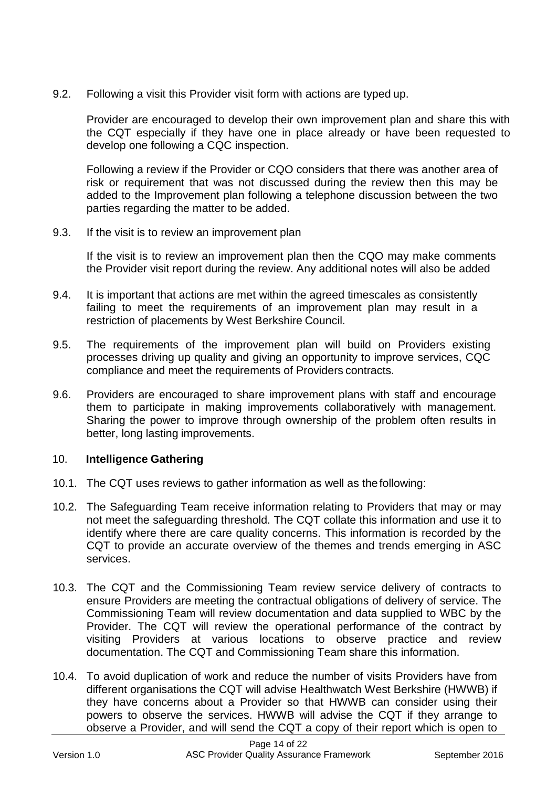9.2. Following a visit this Provider visit form with actions are typed up.

Provider are encouraged to develop their own improvement plan and share this with the CQT especially if they have one in place already or have been requested to develop one following a CQC inspection.

Following a review if the Provider or CQO considers that there was another area of risk or requirement that was not discussed during the review then this may be added to the Improvement plan following a telephone discussion between the two parties regarding the matter to be added.

9.3. If the visit is to review an improvement plan

If the visit is to review an improvement plan then the CQO may make comments the Provider visit report during the review. Any additional notes will also be added

- 9.4. It is important that actions are met within the agreed timescales as consistently failing to meet the requirements of an improvement plan may result in a restriction of placements by West Berkshire Council.
- 9.5. The requirements of the improvement plan will build on Providers existing processes driving up quality and giving an opportunity to improve services, CQC compliance and meet the requirements of Providers contracts.
- 9.6. Providers are encouraged to share improvement plans with staff and encourage them to participate in making improvements collaboratively with management. Sharing the power to improve through ownership of the problem often results in better, long lasting improvements.

# 10. **Intelligence Gathering**

- 10.1. The CQT uses reviews to gather information as well as thefollowing:
- 10.2. The Safeguarding Team receive information relating to Providers that may or may not meet the safeguarding threshold. The CQT collate this information and use it to identify where there are care quality concerns. This information is recorded by the CQT to provide an accurate overview of the themes and trends emerging in ASC services.
- 10.3. The CQT and the Commissioning Team review service delivery of contracts to ensure Providers are meeting the contractual obligations of delivery of service. The Commissioning Team will review documentation and data supplied to WBC by the Provider. The CQT will review the operational performance of the contract by visiting Providers at various locations to observe practice and review documentation. The CQT and Commissioning Team share this information.
- 10.4. To avoid duplication of work and reduce the number of visits Providers have from different organisations the CQT will advise Healthwatch West Berkshire (HWWB) if they have concerns about a Provider so that HWWB can consider using their powers to observe the services. HWWB will advise the CQT if they arrange to observe a Provider, and will send the CQT a copy of their report which is open to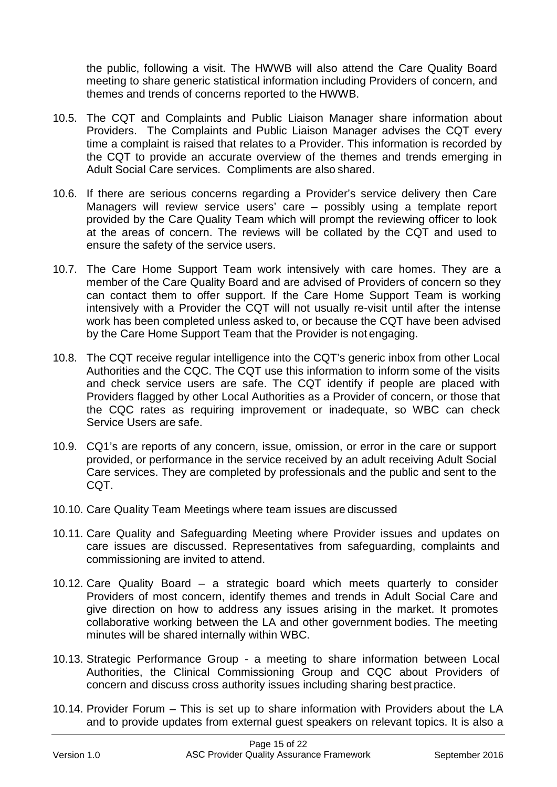the public, following a visit. The HWWB will also attend the Care Quality Board meeting to share generic statistical information including Providers of concern, and themes and trends of concerns reported to the HWWB.

- 10.5. The CQT and Complaints and Public Liaison Manager share information about Providers. The Complaints and Public Liaison Manager advises the CQT every time a complaint is raised that relates to a Provider. This information is recorded by the CQT to provide an accurate overview of the themes and trends emerging in Adult Social Care services. Compliments are also shared.
- 10.6. If there are serious concerns regarding a Provider's service delivery then Care Managers will review service users' care – possibly using a template report provided by the Care Quality Team which will prompt the reviewing officer to look at the areas of concern. The reviews will be collated by the CQT and used to ensure the safety of the service users.
- 10.7. The Care Home Support Team work intensively with care homes. They are a member of the Care Quality Board and are advised of Providers of concern so they can contact them to offer support. If the Care Home Support Team is working intensively with a Provider the CQT will not usually re-visit until after the intense work has been completed unless asked to, or because the CQT have been advised by the Care Home Support Team that the Provider is not engaging.
- 10.8. The CQT receive regular intelligence into the CQT's generic inbox from other Local Authorities and the CQC. The CQT use this information to inform some of the visits and check service users are safe. The CQT identify if people are placed with Providers flagged by other Local Authorities as a Provider of concern, or those that the CQC rates as requiring improvement or inadequate, so WBC can check Service Users are safe.
- 10.9. CQ1's are reports of any concern, issue, omission, or error in the care or support provided, or performance in the service received by an adult receiving Adult Social Care services. They are completed by professionals and the public and sent to the CQT.
- 10.10. Care Quality Team Meetings where team issues are discussed
- 10.11. Care Quality and Safeguarding Meeting where Provider issues and updates on care issues are discussed. Representatives from safeguarding, complaints and commissioning are invited to attend.
- 10.12. Care Quality Board a strategic board which meets quarterly to consider Providers of most concern, identify themes and trends in Adult Social Care and give direction on how to address any issues arising in the market. It promotes collaborative working between the LA and other government bodies. The meeting minutes will be shared internally within WBC.
- 10.13. Strategic Performance Group a meeting to share information between Local Authorities, the Clinical Commissioning Group and CQC about Providers of concern and discuss cross authority issues including sharing best practice.
- 10.14. Provider Forum This is set up to share information with Providers about the LA and to provide updates from external guest speakers on relevant topics. It is also a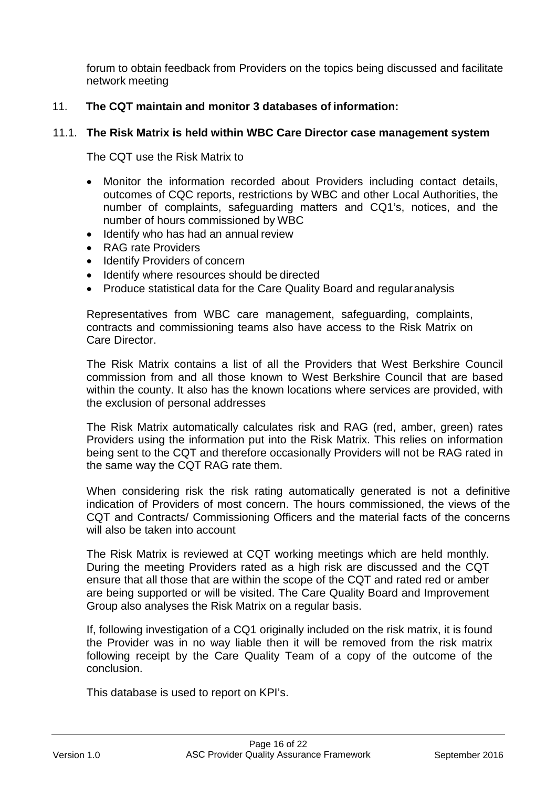forum to obtain feedback from Providers on the topics being discussed and facilitate network meeting

# 11. **The CQT maintain and monitor 3 databases of information:**

#### 11.1. **The Risk Matrix is held within WBC Care Director case management system**

The CQT use the Risk Matrix to

- Monitor the information recorded about Providers including contact details, outcomes of CQC reports, restrictions by WBC and other Local Authorities, the number of complaints, safeguarding matters and CQ1's, notices, and the number of hours commissioned by WBC
- Identify who has had an annual review
- RAG rate Providers
- Identify Providers of concern
- Identify where resources should be directed
- Produce statistical data for the Care Quality Board and regularanalysis

Representatives from WBC care management, safeguarding, complaints, contracts and commissioning teams also have access to the Risk Matrix on Care Director.

The Risk Matrix contains a list of all the Providers that West Berkshire Council commission from and all those known to West Berkshire Council that are based within the county. It also has the known locations where services are provided, with the exclusion of personal addresses

The Risk Matrix automatically calculates risk and RAG (red, amber, green) rates Providers using the information put into the Risk Matrix. This relies on information being sent to the CQT and therefore occasionally Providers will not be RAG rated in the same way the CQT RAG rate them.

When considering risk the risk rating automatically generated is not a definitive indication of Providers of most concern. The hours commissioned, the views of the CQT and Contracts/ Commissioning Officers and the material facts of the concerns will also be taken into account

The Risk Matrix is reviewed at CQT working meetings which are held monthly. During the meeting Providers rated as a high risk are discussed and the CQT ensure that all those that are within the scope of the CQT and rated red or amber are being supported or will be visited. The Care Quality Board and Improvement Group also analyses the Risk Matrix on a regular basis.

If, following investigation of a CQ1 originally included on the risk matrix, it is found the Provider was in no way liable then it will be removed from the risk matrix following receipt by the Care Quality Team of a copy of the outcome of the conclusion.

This database is used to report on KPI's.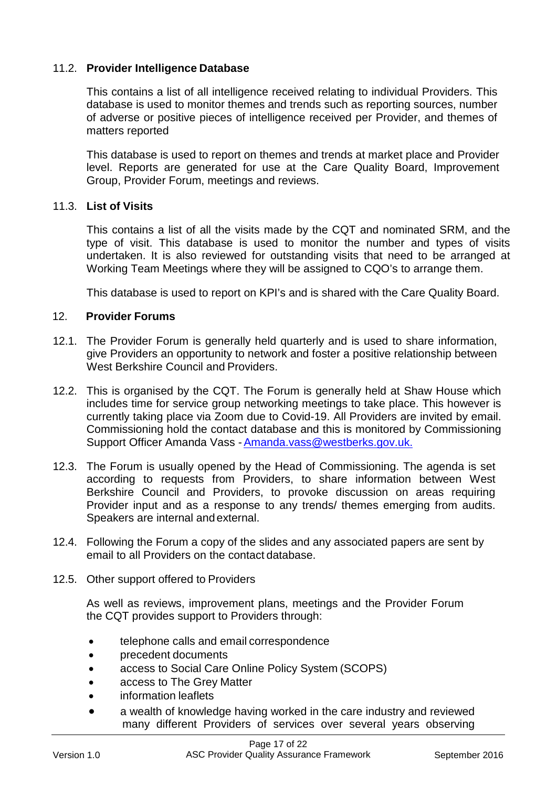## 11.2. **Provider Intelligence Database**

This contains a list of all intelligence received relating to individual Providers. This database is used to monitor themes and trends such as reporting sources, number of adverse or positive pieces of intelligence received per Provider, and themes of matters reported

This database is used to report on themes and trends at market place and Provider level. Reports are generated for use at the Care Quality Board, Improvement Group, Provider Forum, meetings and reviews.

#### 11.3. **List of Visits**

This contains a list of all the visits made by the CQT and nominated SRM, and the type of visit. This database is used to monitor the number and types of visits undertaken. It is also reviewed for outstanding visits that need to be arranged at Working Team Meetings where they will be assigned to CQO's to arrange them.

This database is used to report on KPI's and is shared with the Care Quality Board.

#### <span id="page-13-0"></span>12. **Provider Forums**

- 12.1. The Provider Forum is generally held quarterly and is used to share information, give Providers an opportunity to network and foster a positive relationship between West Berkshire Council and Providers.
- 12.2. This is organised by the CQT. The Forum is generally held at Shaw House which includes time for service group networking meetings to take place. This however is currently taking place via Zoom due to Covid-19. All Providers are invited by email. Commissioning hold the contact database and this is monitored by Commissioning Support Officer Amanda Vass [-Amanda.vass@westberks.gov.uk.](mailto:Amanda.vass@westberks.gov.uk.)
- 12.3. The Forum is usually opened by the Head of Commissioning. The agenda is set according to requests from Providers, to share information between West Berkshire Council and Providers, to provoke discussion on areas requiring Provider input and as a response to any trends/ themes emerging from audits. Speakers are internal andexternal.
- 12.4. Following the Forum a copy of the slides and any associated papers are sent by email to all Providers on the contact database.
- 12.5. Other support offered to Providers

As well as reviews, improvement plans, meetings and the Provider Forum the CQT provides support to Providers through:

- telephone calls and email correspondence
- precedent documents
- access to Social Care Online Policy System (SCOPS)
- access to The Grey Matter
- information leaflets
- a wealth of knowledge having worked in the care industry and reviewed many different Providers of services over several years observing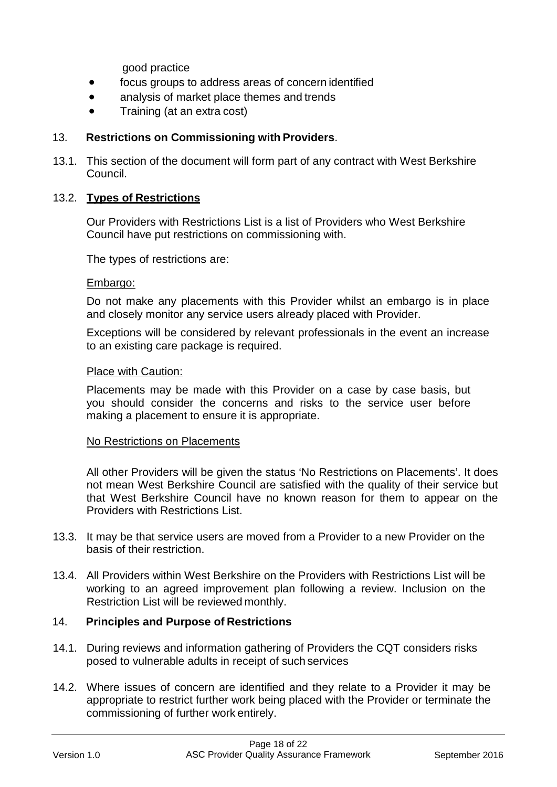good practice

- focus groups to address areas of concern identified
- analysis of market place themes and trends
- Training (at an extra cost)

# 13. **Restrictions on Commissioning with Providers**.

13.1. This section of the document will form part of any contract with West Berkshire Council.

#### 13.2. **Types of Restrictions**

Our Providers with Restrictions List is a list of Providers who West Berkshire Council have put restrictions on commissioning with.

The types of restrictions are:

#### Embargo:

Do not make any placements with this Provider whilst an embargo is in place and closely monitor any service users already placed with Provider.

Exceptions will be considered by relevant professionals in the event an increase to an existing care package is required.

#### Place with Caution:

Placements may be made with this Provider on a case by case basis, but you should consider the concerns and risks to the service user before making a placement to ensure it is appropriate.

#### No Restrictions on Placements

All other Providers will be given the status 'No Restrictions on Placements'. It does not mean West Berkshire Council are satisfied with the quality of their service but that West Berkshire Council have no known reason for them to appear on the Providers with Restrictions List.

- 13.3. It may be that service users are moved from a Provider to a new Provider on the basis of their restriction.
- 13.4. All Providers within West Berkshire on the Providers with Restrictions List will be working to an agreed improvement plan following a review. Inclusion on the Restriction List will be reviewed monthly.

# <span id="page-14-0"></span>14. **Principles and Purpose of Restrictions**

- 14.1. During reviews and information gathering of Providers the CQT considers risks posed to vulnerable adults in receipt of such services
- 14.2. Where issues of concern are identified and they relate to a Provider it may be appropriate to restrict further work being placed with the Provider or terminate the commissioning of further work entirely.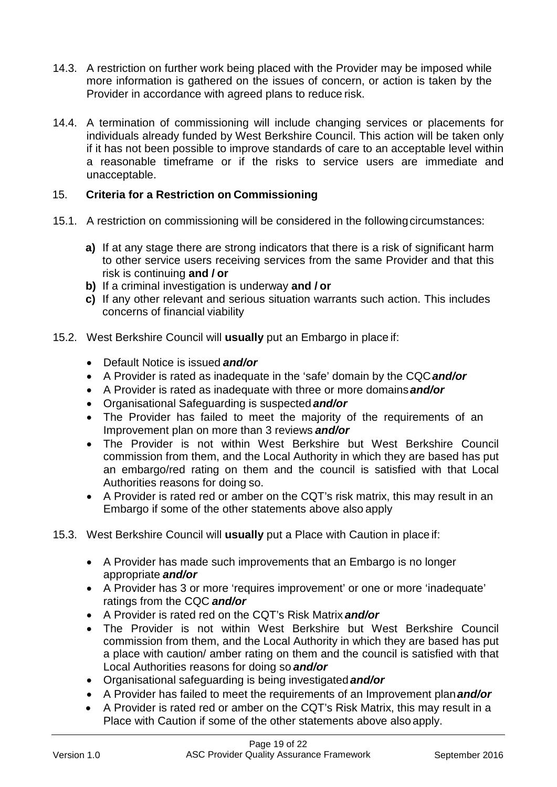- 14.3. A restriction on further work being placed with the Provider may be imposed while more information is gathered on the issues of concern, or action is taken by the Provider in accordance with agreed plans to reduce risk.
- 14.4. A termination of commissioning will include changing services or placements for individuals already funded by West Berkshire Council. This action will be taken only if it has not been possible to improve standards of care to an acceptable level within a reasonable timeframe or if the risks to service users are immediate and unacceptable.

# <span id="page-15-0"></span>15. **Criteria for a Restriction on Commissioning**

- 15.1. A restriction on commissioning will be considered in the following circumstances:
	- **a)** If at any stage there are strong indicators that there is a risk of significant harm to other service users receiving services from the same Provider and that this risk is continuing **and / or**
	- **b)** If a criminal investigation is underway **and / or**
	- **c)** If any other relevant and serious situation warrants such action. This includes concerns of financial viability
- 15.2. West Berkshire Council will **usually** put an Embargo in place if:
	- Default Notice is issued *and/or*
	- A Provider is rated as inadequate in the 'safe' domain by the CQC*and/or*
	- A Provider is rated as inadequate with three or more domains*and/or*
	- Organisational Safeguarding is suspected *and/or*
	- The Provider has failed to meet the majority of the requirements of an Improvement plan on more than 3 reviews *and/or*
	- The Provider is not within West Berkshire but West Berkshire Council commission from them, and the Local Authority in which they are based has put an embargo/red rating on them and the council is satisfied with that Local Authorities reasons for doing so.
	- A Provider is rated red or amber on the CQT's risk matrix, this may result in an Embargo if some of the other statements above also apply
- 15.3. West Berkshire Council will **usually** put a Place with Caution in place if:
	- A Provider has made such improvements that an Embargo is no longer appropriate *and/or*
	- A Provider has 3 or more 'requires improvement' or one or more 'inadequate' ratings from the CQC *and/or*
	- A Provider is rated red on the CQT's Risk Matrix *and/or*
	- The Provider is not within West Berkshire but West Berkshire Council commission from them, and the Local Authority in which they are based has put a place with caution/ amber rating on them and the council is satisfied with that Local Authorities reasons for doing so *and/or*
	- Organisational safeguarding is being investigated *and/or*
	- A Provider has failed to meet the requirements of an Improvement plan*and/or*
	- A Provider is rated red or amber on the CQT's Risk Matrix, this may result in a Place with Caution if some of the other statements above also apply.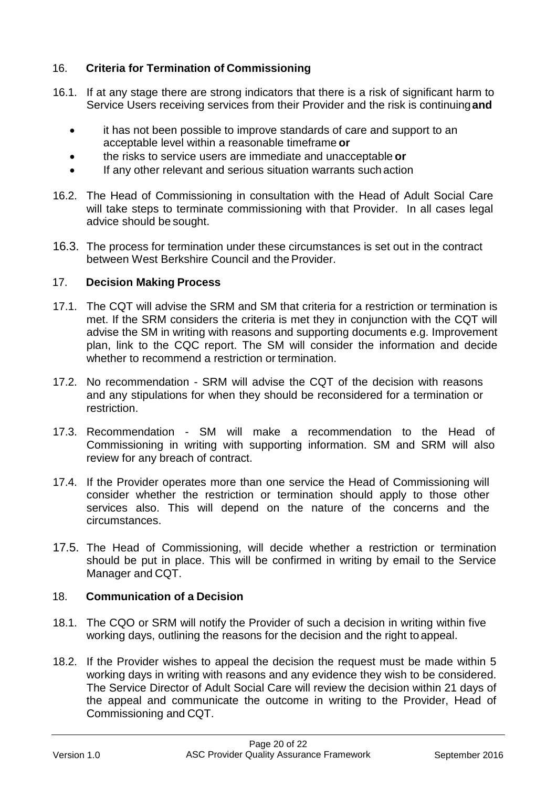# <span id="page-16-0"></span>16. **Criteria for Termination of Commissioning**

- 16.1. If at any stage there are strong indicators that there is a risk of significant harm to Service Users receiving services from their Provider and the risk is continuing**and**
	- it has not been possible to improve standards of care and support to an acceptable level within a reasonable timeframe **or**
	- the risks to service users are immediate and unacceptable **or**
	- If any other relevant and serious situation warrants such action
- 16.2. The Head of Commissioning in consultation with the Head of Adult Social Care will take steps to terminate commissioning with that Provider. In all cases legal advice should be sought.
- 16.3. The process for termination under these circumstances is set out in the contract between West Berkshire Council and the Provider.

## <span id="page-16-1"></span>17. **Decision Making Process**

- 17.1. The CQT will advise the SRM and SM that criteria for a restriction or termination is met. If the SRM considers the criteria is met they in conjunction with the CQT will advise the SM in writing with reasons and supporting documents e.g. Improvement plan, link to the CQC report. The SM will consider the information and decide whether to recommend a restriction or termination.
- 17.2. No recommendation SRM will advise the CQT of the decision with reasons and any stipulations for when they should be reconsidered for a termination or restriction.
- 17.3. Recommendation SM will make a recommendation to the Head of Commissioning in writing with supporting information. SM and SRM will also review for any breach of contract.
- 17.4. If the Provider operates more than one service the Head of Commissioning will consider whether the restriction or termination should apply to those other services also. This will depend on the nature of the concerns and the circumstances.
- 17.5. The Head of Commissioning, will decide whether a restriction or termination should be put in place. This will be confirmed in writing by email to the Service Manager and CQT.

# <span id="page-16-2"></span>18. **Communication of a Decision**

- 18.1. The CQO or SRM will notify the Provider of such a decision in writing within five working days, outlining the reasons for the decision and the right to appeal.
- 18.2. If the Provider wishes to appeal the decision the request must be made within 5 working days in writing with reasons and any evidence they wish to be considered. The Service Director of Adult Social Care will review the decision within 21 days of the appeal and communicate the outcome in writing to the Provider, Head of Commissioning and CQT.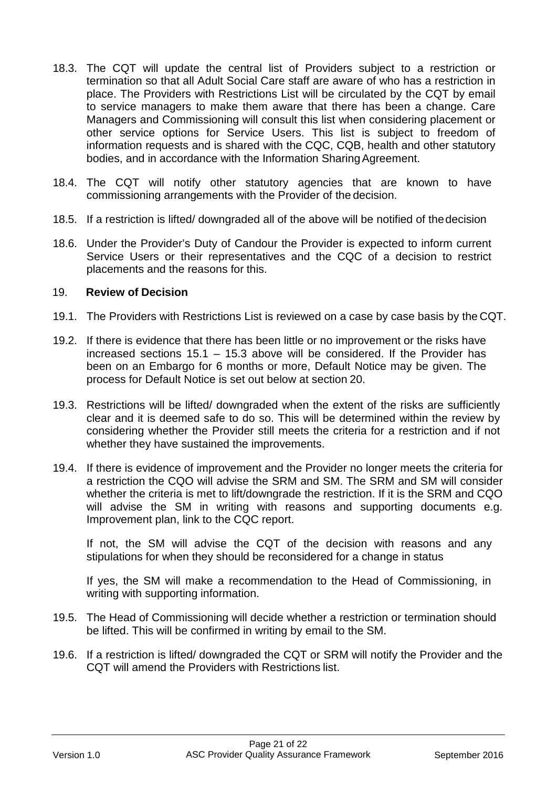- 18.3. The CQT will update the central list of Providers subject to a restriction or termination so that all Adult Social Care staff are aware of who has a restriction in place. The Providers with Restrictions List will be circulated by the CQT by email to service managers to make them aware that there has been a change. Care Managers and Commissioning will consult this list when considering placement or other service options for Service Users. This list is subject to freedom of information requests and is shared with the CQC, CQB, health and other statutory bodies, and in accordance with the Information Sharing Agreement.
- 18.4. The CQT will notify other statutory agencies that are known to have commissioning arrangements with the Provider of the decision.
- 18.5. If a restriction is lifted/ downgraded all of the above will be notified of thedecision
- 18.6. Under the Provider's Duty of Candour the Provider is expected to inform current Service Users or their representatives and the CQC of a decision to restrict placements and the reasons for this.

#### <span id="page-17-0"></span>19. **Review of Decision**

- 19.1. The Providers with Restrictions List is reviewed on a case by case basis by the CQT.
- 19.2. If there is evidence that there has been little or no improvement or the risks have increased sections 15.1 – 15.3 above will be considered. If the Provider has been on an Embargo for 6 months or more, Default Notice may be given. The process for Default Notice is set out below at section 20.
- 19.3. Restrictions will be lifted/ downgraded when the extent of the risks are sufficiently clear and it is deemed safe to do so. This will be determined within the review by considering whether the Provider still meets the criteria for a restriction and if not whether they have sustained the improvements.
- 19.4. If there is evidence of improvement and the Provider no longer meets the criteria for a restriction the CQO will advise the SRM and SM. The SRM and SM will consider whether the criteria is met to lift/downgrade the restriction. If it is the SRM and CQO will advise the SM in writing with reasons and supporting documents e.g. Improvement plan, link to the CQC report.

If not, the SM will advise the CQT of the decision with reasons and any stipulations for when they should be reconsidered for a change in status

If yes, the SM will make a recommendation to the Head of Commissioning, in writing with supporting information.

- 19.5. The Head of Commissioning will decide whether a restriction or termination should be lifted. This will be confirmed in writing by email to the SM.
- 19.6. If a restriction is lifted/ downgraded the CQT or SRM will notify the Provider and the CQT will amend the Providers with Restrictions list.